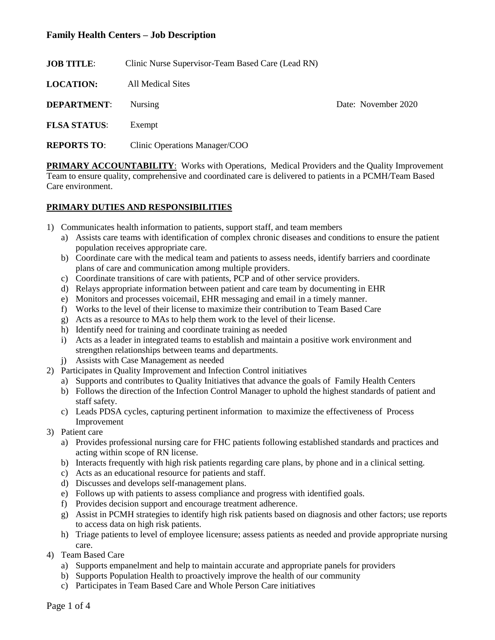| Clinic Nurse Supervisor-Team Based Care (Lead RN) |                     |
|---------------------------------------------------|---------------------|
| All Medical Sites                                 |                     |
| <b>Nursing</b>                                    | Date: November 2020 |
| Exempt                                            |                     |
| Clinic Operations Manager/COO                     |                     |
|                                                   |                     |

**PRIMARY ACCOUNTABILITY:** Works with Operations, Medical Providers and the Quality Improvement Team to ensure quality, comprehensive and coordinated care is delivered to patients in a PCMH/Team Based Care environment.

### **PRIMARY DUTIES AND RESPONSIBILITIES**

- 1) Communicates health information to patients, support staff, and team members
	- a) Assists care teams with identification of complex chronic diseases and conditions to ensure the patient population receives appropriate care.
	- b) Coordinate care with the medical team and patients to assess needs, identify barriers and coordinate plans of care and communication among multiple providers.
	- c) Coordinate transitions of care with patients, PCP and of other service providers.
	- d) Relays appropriate information between patient and care team by documenting in EHR
	- e) Monitors and processes voicemail, EHR messaging and email in a timely manner.
	- f) Works to the level of their license to maximize their contribution to Team Based Care
	- g) Acts as a resource to MAs to help them work to the level of their license.
	- h) Identify need for training and coordinate training as needed
	- i) Acts as a leader in integrated teams to establish and maintain a positive work environment and strengthen relationships between teams and departments.
	- j) Assists with Case Management as needed
- 2) Participates in Quality Improvement and Infection Control initiatives
	- a) Supports and contributes to Quality Initiatives that advance the goals of Family Health Centers
	- b) Follows the direction of the Infection Control Manager to uphold the highest standards of patient and staff safety.
	- c) Leads PDSA cycles, capturing pertinent information to maximize the effectiveness of Process Improvement
- 3) Patient care
	- a) Provides professional nursing care for FHC patients following established standards and practices and acting within scope of RN license.
	- b) Interacts frequently with high risk patients regarding care plans, by phone and in a clinical setting.
	- c) Acts as an educational resource for patients and staff.
	- d) Discusses and develops self-management plans.
	- e) Follows up with patients to assess compliance and progress with identified goals.
	- f) Provides decision support and encourage treatment adherence.
	- g) Assist in PCMH strategies to identify high risk patients based on diagnosis and other factors; use reports to access data on high risk patients.
	- h) Triage patients to level of employee licensure; assess patients as needed and provide appropriate nursing care.
- 4) Team Based Care
	- a) Supports empanelment and help to maintain accurate and appropriate panels for providers
	- b) Supports Population Health to proactively improve the health of our community
	- c) Participates in Team Based Care and Whole Person Care initiatives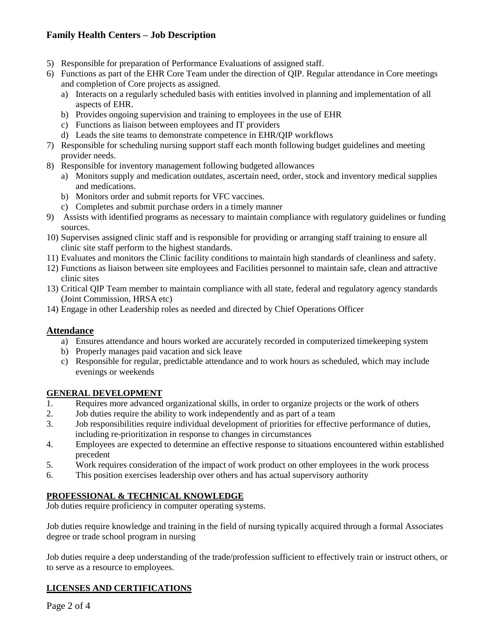- 5) Responsible for preparation of Performance Evaluations of assigned staff.
- 6) Functions as part of the EHR Core Team under the direction of QIP. Regular attendance in Core meetings and completion of Core projects as assigned.
	- a) Interacts on a regularly scheduled basis with entities involved in planning and implementation of all aspects of EHR.
	- b) Provides ongoing supervision and training to employees in the use of EHR
	- c) Functions as liaison between employees and IT providers
	- d) Leads the site teams to demonstrate competence in EHR/QIP workflows
- 7) Responsible for scheduling nursing support staff each month following budget guidelines and meeting provider needs.
- 8) Responsible for inventory management following budgeted allowances
	- a) Monitors supply and medication outdates, ascertain need, order, stock and inventory medical supplies and medications.
	- b) Monitors order and submit reports for VFC vaccines.
	- c) Completes and submit purchase orders in a timely manner
- 9) Assists with identified programs as necessary to maintain compliance with regulatory guidelines or funding sources.
- 10) Supervises assigned clinic staff and is responsible for providing or arranging staff training to ensure all clinic site staff perform to the highest standards.
- 11) Evaluates and monitors the Clinic facility conditions to maintain high standards of cleanliness and safety.
- 12) Functions as liaison between site employees and Facilities personnel to maintain safe, clean and attractive clinic sites
- 13) Critical QIP Team member to maintain compliance with all state, federal and regulatory agency standards (Joint Commission, HRSA etc)
- 14) Engage in other Leadership roles as needed and directed by Chief Operations Officer

#### **Attendance**

- a) Ensures attendance and hours worked are accurately recorded in computerized timekeeping system
- b) Properly manages paid vacation and sick leave
- c) Responsible for regular, predictable attendance and to work hours as scheduled, which may include evenings or weekends

#### **GENERAL DEVELOPMENT**

- 1. Requires more advanced organizational skills, in order to organize projects or the work of others 2. Job duties require the ability to work independently and as part of a team
- 2. Job duties require the ability to work independently and as part of a team
- 3. Job responsibilities require individual development of priorities for effective performance of duties, including re-prioritization in response to changes in circumstances
- 4. Employees are expected to determine an effective response to situations encountered within established precedent
- 5. Work requires consideration of the impact of work product on other employees in the work process
- 6. This position exercises leadership over others and has actual supervisory authority

# **PROFESSIONAL & TECHNICAL KNOWLEDGE**

Job duties require proficiency in computer operating systems.

Job duties require knowledge and training in the field of nursing typically acquired through a formal Associates degree or trade school program in nursing

Job duties require a deep understanding of the trade/profession sufficient to effectively train or instruct others, or to serve as a resource to employees.

#### **LICENSES AND CERTIFICATIONS**

Page 2 of 4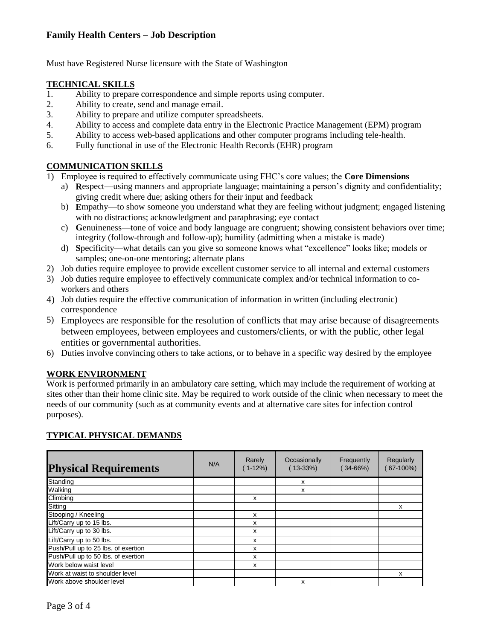Must have Registered Nurse licensure with the State of Washington

### **TECHNICAL SKILLS**

- 1. Ability to prepare correspondence and simple reports using computer.
- 2. Ability to create, send and manage email.
- 3. Ability to prepare and utilize computer spreadsheets.
- 4. Ability to access and complete data entry in the Electronic Practice Management (EPM) program
- 5. Ability to access web-based applications and other computer programs including tele-health.
- 6. Fully functional in use of the Electronic Health Records (EHR) program

# **COMMUNICATION SKILLS**

- 1) Employee is required to effectively communicate using FHC's core values; the **Core Dimensions**
	- a) **R**espect—using manners and appropriate language; maintaining a person's dignity and confidentiality; giving credit where due; asking others for their input and feedback
	- b) **E**mpathy—to show someone you understand what they are feeling without judgment; engaged listening with no distractions; acknowledgment and paraphrasing; eye contact
	- c) **G**enuineness—tone of voice and body language are congruent; showing consistent behaviors over time; integrity (follow-through and follow-up); humility (admitting when a mistake is made)
	- d) **S**pecificity—what details can you give so someone knows what "excellence" looks like; models or samples; one-on-one mentoring; alternate plans
- 2) Job duties require employee to provide excellent customer service to all internal and external customers
- 3) Job duties require employee to effectively communicate complex and/or technical information to coworkers and others
- 4) Job duties require the effective communication of information in written (including electronic) correspondence
- 5) Employees are responsible for the resolution of conflicts that may arise because of disagreements between employees, between employees and customers/clients, or with the public, other legal entities or governmental authorities.
- 6) Duties involve convincing others to take actions, or to behave in a specific way desired by the employee

#### **WORK ENVIRONMENT**

Work is performed primarily in an ambulatory care setting, which may include the requirement of working at sites other than their home clinic site. May be required to work outside of the clinic when necessary to meet the needs of our community (such as at community events and at alternative care sites for infection control purposes).

# **TYPICAL PHYSICAL DEMANDS**

| <b>Physical Requirements</b>        | N/A | Rarely<br>(1-12%) | Occasionally<br>$(13-33%)$ | Frequently<br>$(34 - 66%)$ | Regularly<br>$67-100%$ |
|-------------------------------------|-----|-------------------|----------------------------|----------------------------|------------------------|
| Standing                            |     |                   | x                          |                            |                        |
| Walking                             |     |                   | x                          |                            |                        |
| Climbing                            |     | x                 |                            |                            |                        |
| Sitting                             |     |                   |                            |                            | x                      |
| Stooping / Kneeling                 |     | x                 |                            |                            |                        |
| Lift/Carry up to 15 lbs.            |     | x                 |                            |                            |                        |
| Lift/Carry up to 30 lbs.            |     | x                 |                            |                            |                        |
| Lift/Carry up to 50 lbs.            |     | x                 |                            |                            |                        |
| Push/Pull up to 25 lbs. of exertion |     | x                 |                            |                            |                        |
| Push/Pull up to 50 lbs. of exertion |     | x                 |                            |                            |                        |
| Work below waist level              |     | x                 |                            |                            |                        |
| Work at waist to shoulder level     |     |                   |                            |                            | x                      |
| Work above shoulder level           |     |                   | x                          |                            |                        |